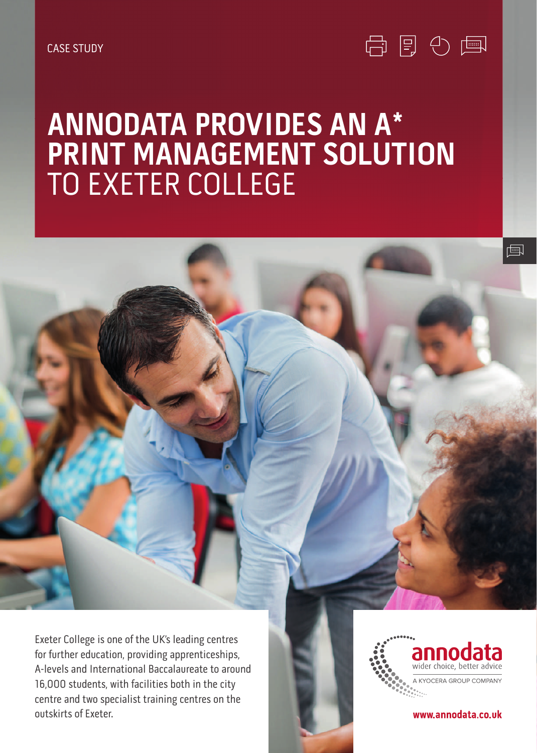CASE STUDY



┌

# **ANNODATA PROVIDES AN A\* PRINT MANAGEMENT SOLUTION**  TO EXETER COLLEGE

Exeter College is one of the UK's leading centres for further education, providing apprenticeships, A-levels and International Baccalaureate to around 16,000 students, with facilities both in the city centre and two specialist training centres on the outskirts of Exeter.



www.annodata.co.uk